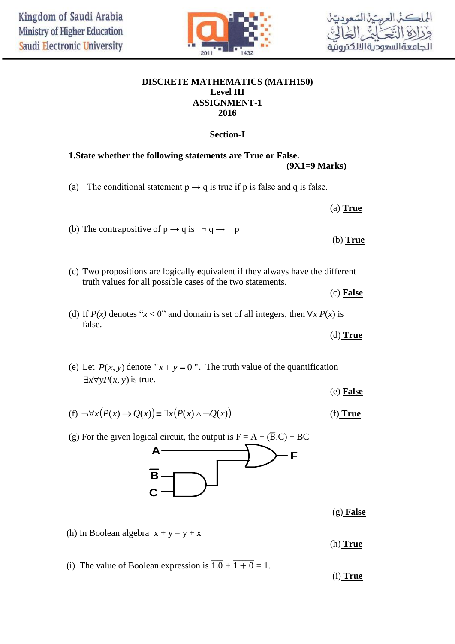

## **DISCRETE MATHEMATICS (MATH150) Level III ASSIGNMENT-1 2016**

# **Section-I**

# **1.State whether the following statements are True or False. (9X1=9 Marks)**

(a) The conditional statement  $p \rightarrow q$  is true if p is false and q is false.

 (a) **True** (b) The contrapositive of  $p \rightarrow q$  is  $\neg q \rightarrow \neg p$ (b) **True**

(c) Two propositions are logically **e**quivalent if they always have the different truth values for all possible cases of the two statements.

(c) **False**

(d) If  $P(x)$  denotes " $x < 0$ " and domain is set of all integers, then  $\forall x P(x)$  is false.

(d) **True** 

(e) Let  $P(x, y)$  denote " $x + y = 0$ ". The truth value of the quantification  $\exists x \forall y P(x, y)$  is true.

(e) **False**

$$
(f) \neg \forall x \big( P(x) \to Q(x) \big) \equiv \exists x \big( P(x) \land \neg Q(x) \big) \tag{f) True}
$$

(g) For the given logical circuit, the output is  $F = A + (\overline{B} \cdot C) + BC$ 



(g) **False**

(h) In Boolean algebra  $x + y = y + x$ 

(h) **True**

(i) The value of Boolean expression is  $\overline{1.0} + \overline{1 + 0} = 1$ .

(i) **True**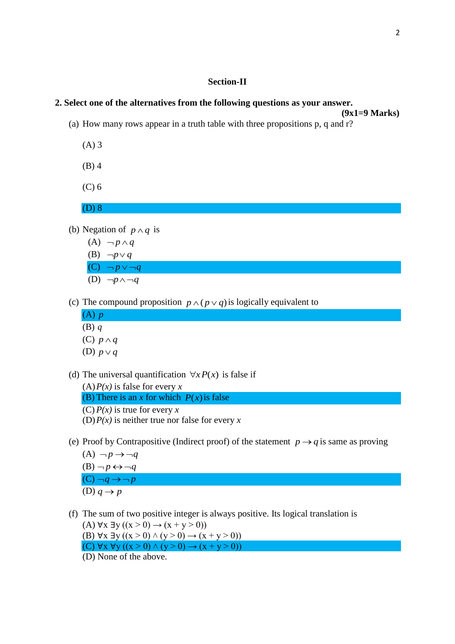## **Section-II**

#### **2. Select one of the alternatives from the following questions as your answer.**

- **(9x1=9 Marks)** (a) How many rows appear in a truth table with three propositions p, q and r?
	- (A) 3
	- (B) 4
	- (C) 6

(D) 8

- (b) Negation of  $p \wedge q$  is
	- $(A) \neg p \wedge q$ (B)  $\neg p \lor q$  $(C)$   $\neg p \vee \neg q$ (D)  $\neg p \land \neg q$
- (c) The compound proposition  $p \wedge (p \vee q)$  is logically equivalent to
	- (A) *p* (B) *q*
	- (C)  $p \wedge q$
	- (D)  $p \vee q$
- (d) The universal quantification  $\forall x P(x)$  is false if

(A)*P(x)* is false for every *x* (B) There is an *x* for which  $P(x)$  is false (C) *P(x)* is true for every *x* (D)*P(x)* is neither true nor false for every *x*

- (e) Proof by Contrapositive (Indirect proof) of the statement  $p \rightarrow q$  is same as proving
	- $(A) \neg p \rightarrow \neg q$  $(B) \neg p \leftrightarrow \neg q$  $(C) \neg q \rightarrow \neg p$ (D)  $q \rightarrow p$
- (f) The sum of two positive integer is always positive. Its logical translation is (A)  $\forall x \exists y ((x > 0) \rightarrow (x + y > 0))$ (B)  $\forall x \exists y ((x > 0) \land (y > 0) \rightarrow (x + y > 0))$ 
	- (C)  $\forall x \forall y ((x > 0) \land (y > 0) \rightarrow (x + y > 0))$
	- (D) None of the above.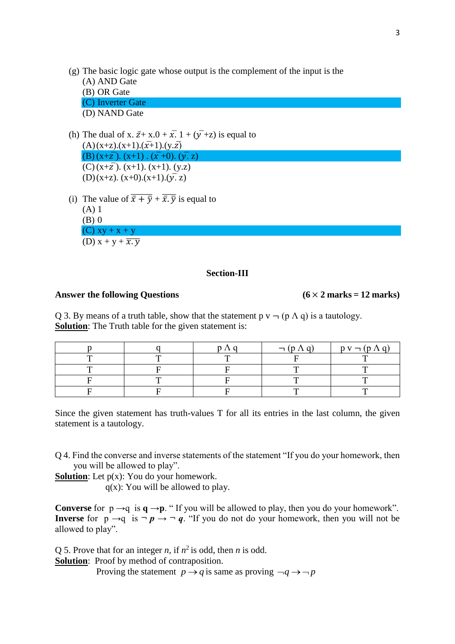- (g) The basic logic gate whose output is the complement of the input is the
	- (A) AND Gate (B) OR Gate (C) Inverter Gate
	- (D) NAND Gate
- (h) The dual of x.  $\bar{z}$  + x.0 +  $\bar{x}$ . 1 +  $(\bar{y}$  +z) is equal to  $(A)(x+z)(x+1)(x+1)(y.\overline{z})$ (B)  $(x+z)$ .  $(x+1)$ .  $(x+0)$ .  $(y, z)$  $(C)$  (x+ $\overline{z}$ ). (x+1). (x+1). (y.z)
	- $(D)(x+z)$ .  $(x+0)$ .  $(x+1)$ .  $(\overline{y}, z)$
- (i) The value of  $\overline{\overline{x} + \overline{y}} + \overline{\overline{x} \cdot \overline{y}}$  is equal to (A) 1 (B) 0  $(C)$  xy + x + y (D)  $x + y + \overline{x \cdot y}$

# **Section-III**

## Answer the following Questions  $(6 \times 2 \text{ marks} = 12 \text{ marks})$

Q 3. By means of a truth table, show that the statement  $p \vee \neg (p \wedge q)$  is a tautology. **Solution**: The Truth table for the given statement is:

|              | $\neg (p \land q)$ | $p v - (p \Lambda q)$ |
|--------------|--------------------|-----------------------|
| $\mathbf{r}$ |                    |                       |
|              | m                  |                       |
| $\mathbf{r}$ | $\mathbf{r}$       |                       |
|              |                    |                       |

Since the given statement has truth-values T for all its entries in the last column, the given statement is a tautology.

Q 4. Find the converse and inverse statements of the statement "If you do your homework, then you will be allowed to play".

**Solution**: Let  $p(x)$ : You do your homework.

 $q(x)$ : You will be allowed to play.

**Converse** for  $p \rightarrow q$  is  $q \rightarrow p$ . "If you will be allowed to play, then you do your homework". **Inverse** for  $p \rightarrow q$  is  $\neg p \rightarrow \neg q$ . "If you do not do your homework, then you will not be allowed to play".

Q 5. Prove that for an integer *n*, if  $n^2$  is odd, then *n* is odd.

**Solution**: Proof by method of contraposition.

Proving the statement  $p \rightarrow q$  is same as proving  $\neg q \rightarrow \neg p$